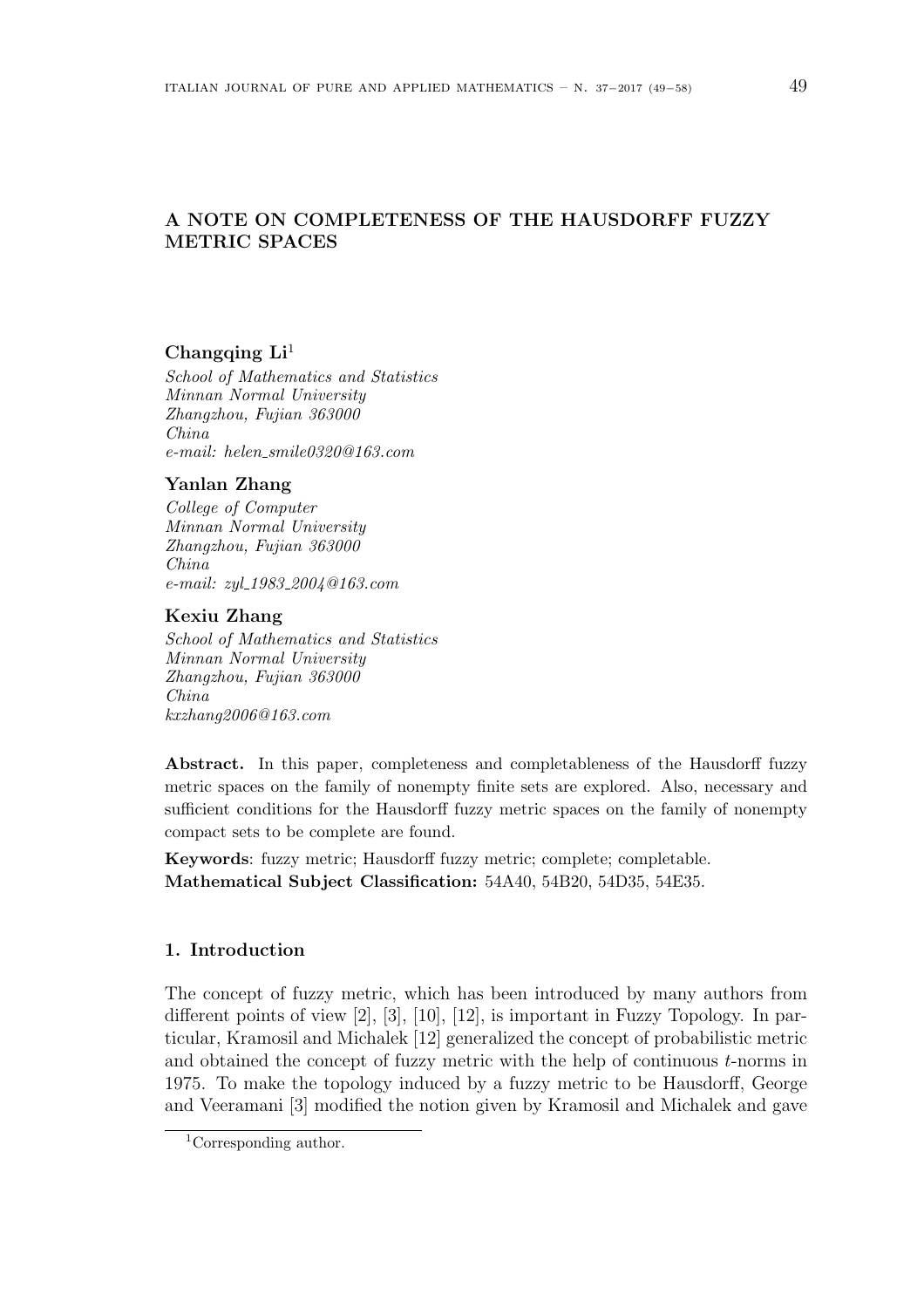# **A NOTE ON COMPLETENESS OF THE HAUSDORFF FUZZY METRIC SPACES**

# **Changqing Li**<sup>1</sup>

*School of Mathematics and Statistics Minnan Normal University Zhangzhou, Fujian 363000 China e-mail: helen smile0320@163.com*

# **Yanlan Zhang**

*College of Computer Minnan Normal University Zhangzhou, Fujian 363000 China e-mail: zyl 1983 2004@163.com*

### **Kexiu Zhang**

*School of Mathematics and Statistics Minnan Normal University Zhangzhou, Fujian 363000 China kxzhang2006@163.com*

**Abstract.** In this paper, completeness and completableness of the Hausdorff fuzzy metric spaces on the family of nonempty finite sets are explored. Also, necessary and sufficient conditions for the Hausdorff fuzzy metric spaces on the family of nonempty compact sets to be complete are found.

**Keywords**: fuzzy metric: Hausdorff fuzzy metric; complete; completable. **Mathematical Subject Classification:** 54A40, 54B20, 54D35, 54E35.

# **1. Introduction**

The concept of fuzzy metric, which has been introduced by many authors from different points of view [2], [3], [10], [12], is important in Fuzzy Topology. In particular, Kramosil and Michalek [12] generalized the concept of probabilistic metric and obtained the concept of fuzzy metric with the help of continuous *t*-norms in 1975. To make the topology induced by a fuzzy metric to be Hausdorff, George and Veeramani [3] modified the notion given by Kramosil and Michalek and gave

<sup>1</sup>Corresponding author.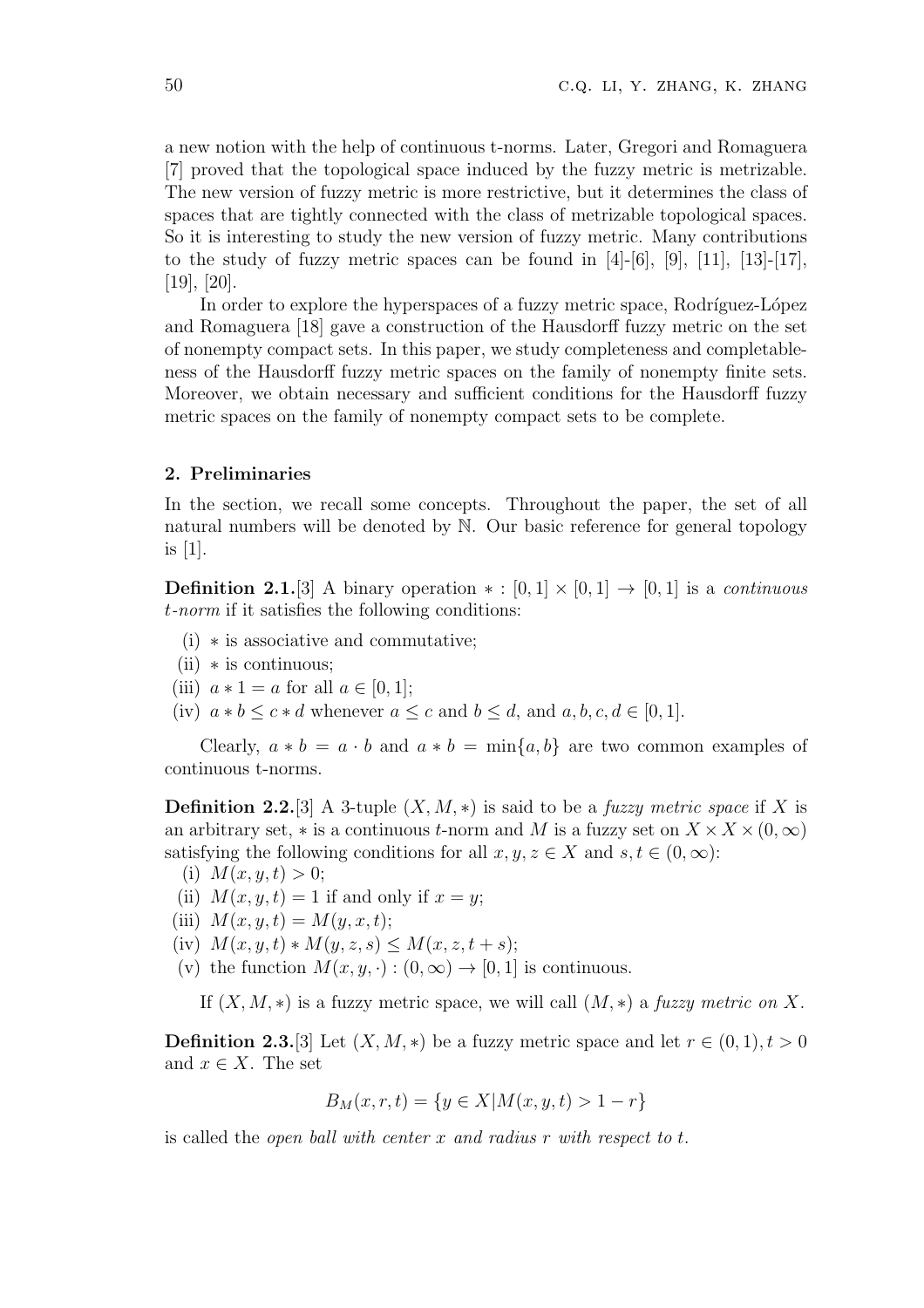a new notion with the help of continuous t-norms. Later, Gregori and Romaguera [7] proved that the topological space induced by the fuzzy metric is metrizable. The new version of fuzzy metric is more restrictive, but it determines the class of spaces that are tightly connected with the class of metrizable topological spaces. So it is interesting to study the new version of fuzzy metric. Many contributions to the study of fuzzy metric spaces can be found in  $[4]-[6]$ ,  $[9]$ ,  $[11]$ ,  $[13]-[17]$ , [19], [20].

In order to explore the hyperspaces of a fuzzy metric space, Rodríguez-López and Romaguera [18] gave a construction of the Hausdorff fuzzy metric on the set of nonempty compact sets. In this paper, we study completeness and completableness of the Hausdorff fuzzy metric spaces on the family of nonempty finite sets. Moreover, we obtain necessary and sufficient conditions for the Hausdorff fuzzy metric spaces on the family of nonempty compact sets to be complete.

# **2. Preliminaries**

In the section, we recall some concepts. Throughout the paper, the set of all natural numbers will be denoted by N. Our basic reference for general topology is [1].

**Definition 2.1.**[3] A binary operation  $* : [0,1] \times [0,1] \rightarrow [0,1]$  is a *continuous t-norm* if it satisfies the following conditions:

- (i) *∗* is associative and commutative;
- (ii) *∗* is continuous;
- (iii)  $a * 1 = a$  for all  $a \in [0, 1]$ ;
- (iv)  $a * b \leq c * d$  whenever  $a \leq c$  and  $b \leq d$ , and  $a, b, c, d \in [0, 1]$ .

Clearly,  $a * b = a \cdot b$  and  $a * b = \min\{a, b\}$  are two common examples of continuous t-norms.

**Definition 2.2.**[3] A 3-tuple  $(X, M, *)$  is said to be a *fuzzy metric space* if X is an arbitrary set,  $*$  is a continuous *t*-norm and *M* is a fuzzy set on  $X \times X \times (0, \infty)$ satisfying the following conditions for all  $x, y, z \in X$  and  $s, t \in (0, \infty)$ :

- (i)  $M(x, y, t) > 0;$
- (ii)  $M(x, y, t) = 1$  if and only if  $x = y$ ;
- (iii)  $M(x, y, t) = M(y, x, t);$
- (iv)  $M(x, y, t) * M(y, z, s) \leq M(x, z, t + s);$
- (v) the function  $M(x, y, \cdot) : (0, \infty) \to [0, 1]$  is continuous.

If  $(X, M, *)$  is a fuzzy metric space, we will call  $(M, *)$  a fuzzy metric on X.

**Definition 2.3.**[3] Let  $(X, M, *)$  be a fuzzy metric space and let  $r \in (0, 1), t > 0$ and  $x \in X$ . The set

$$
B_M(x, r, t) = \{ y \in X | M(x, y, t) > 1 - r \}
$$

is called the *open ball with center x and radius r with respect to t*.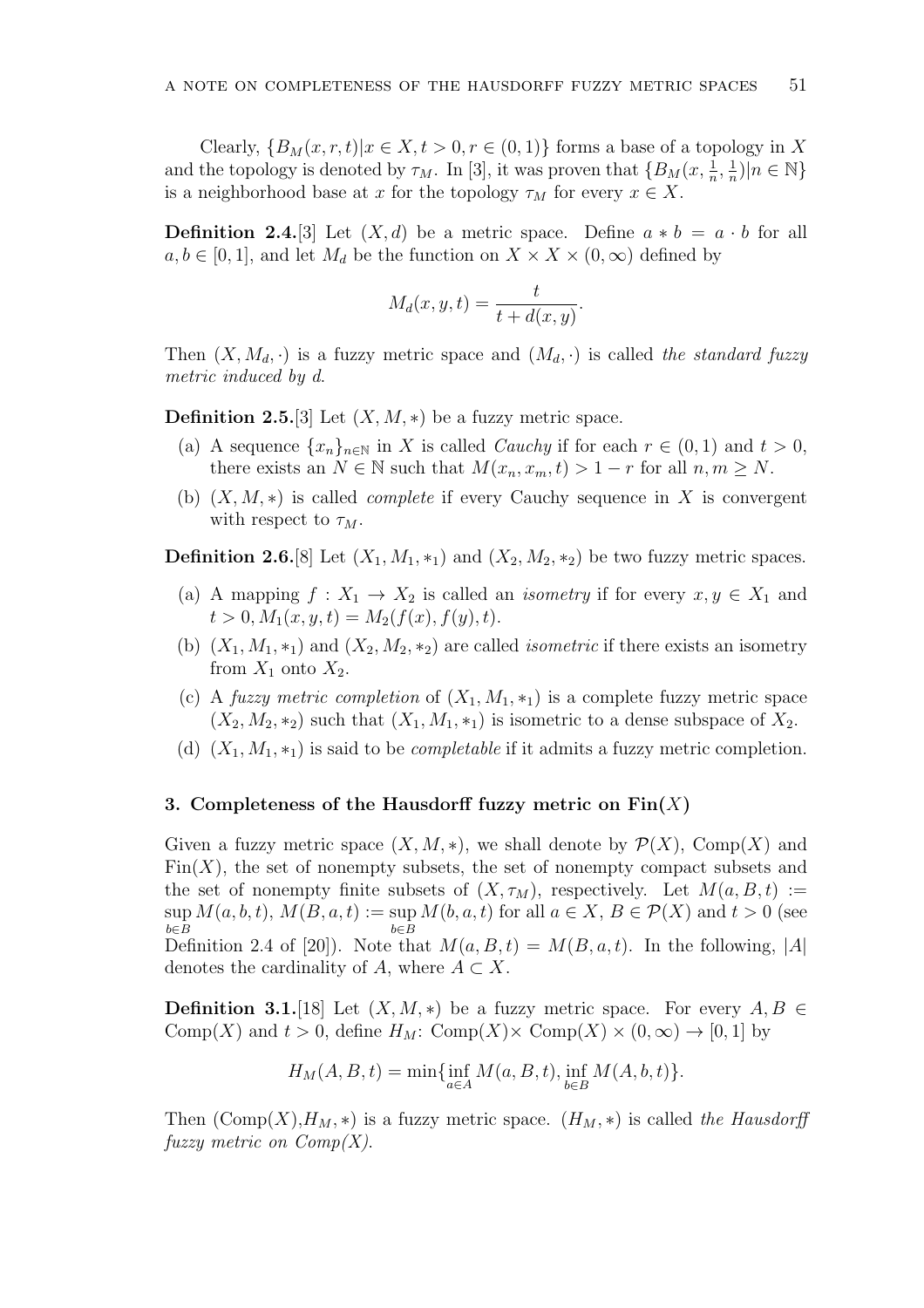Clearly,  ${B_M(x, r, t)|x \in X, t > 0, r \in (0, 1)}$  forms a base of a topology in X and the topology is denoted by  $\tau_M$ . In [3], it was proven that  $\{B_M(x, \frac{1}{n}, \frac{1}{n})\}$  $\frac{1}{n}$ )| $n \in \mathbb{N}$ } is a neighborhood base at *x* for the topology  $\tau_M$  for every  $x \in X$ .

**Definition 2.4.**[3] Let  $(X, d)$  be a metric space. Define  $a * b = a \cdot b$  for all  $a, b \in [0, 1]$ , and let  $M_d$  be the function on  $X \times X \times (0, \infty)$  defined by

$$
M_d(x, y, t) = \frac{t}{t + d(x, y)}.
$$

Then  $(X, M_d, \cdot)$  is a fuzzy metric space and  $(M_d, \cdot)$  is called the standard fuzzy *metric induced by d*.

**Definition 2.5.**[3] Let  $(X, M, *)$  be a fuzzy metric space.

- (a) A sequence  $\{x_n\}_{n\in\mathbb{N}}$  in X is called *Cauchy* if for each  $r \in (0,1)$  and  $t > 0$ , there exists an  $N \in \mathbb{N}$  such that  $M(x_n, x_m, t) > 1 - r$  for all  $n, m \geq N$ .
- (b) (*X, M, ∗*) is called *complete* if every Cauchy sequence in *X* is convergent with respect to  $\tau_M$ .

**Definition 2.6.**[8] Let  $(X_1, M_1, *_1)$  and  $(X_2, M_2, *_2)$  be two fuzzy metric spaces.

- (a) A mapping  $f: X_1 \to X_2$  is called an *isometry* if for every  $x, y \in X_1$  and  $t > 0, M_1(x, y, t) = M_2(f(x), f(y), t).$
- (b)  $(X_1, M_1, *_1)$  and  $(X_2, M_2, *_2)$  are called *isometric* if there exists an isometry from  $X_1$  onto  $X_2$ .
- (c) A *fuzzy metric completion* of  $(X_1, M_1, *_1)$  is a complete fuzzy metric space  $(X_2, M_2, *_2)$  such that  $(X_1, M_1, *_1)$  is isometric to a dense subspace of  $X_2$ .
- (d)  $(X_1, M_1, *_1)$  is said to be *completable* if it admits a fuzzy metric completion.

#### **3. Completeness of the Hausdorff fuzzy metric on Fin(***X***)**

Given a fuzzy metric space  $(X, M, *)$ , we shall denote by  $\mathcal{P}(X)$ , Comp $(X)$  and  $\text{Fin}(X)$ , the set of nonempty subsets, the set of nonempty compact subsets and the set of nonempty finite subsets of  $(X, \tau_M)$ , respectively. Let  $M(a, B, t) :=$  $\sup M(a, b, t)$ ,  $M(B, a, t) := \sup M(b, a, t)$  for all  $a \in X$ ,  $B \in \mathcal{P}(X)$  and  $t > 0$  (see *b∈B b∈B* Definition 2.4 of [20]). Note that  $M(a, B, t) = M(B, a, t)$ . In the following,  $|A|$ denotes the cardinality of *A*, where  $A \subset X$ .

**Definition 3.1.**[18] Let  $(X, M, *)$  be a fuzzy metric space. For every  $A, B \in$ Comp $(X)$  and  $t > 0$ , define  $H_M$ : Comp $(X) \times$  Comp $(X) \times (0, \infty) \rightarrow [0, 1]$  by

$$
H_M(A, B, t) = \min\{\inf_{a \in A} M(a, B, t), \inf_{b \in B} M(A, b, t)\}.
$$

Then  $(\text{Comp}(X), H_M, *)$  is a fuzzy metric space.  $(H_M, *)$  is called the Hausdorff *fuzzy metric on Comp(X)*.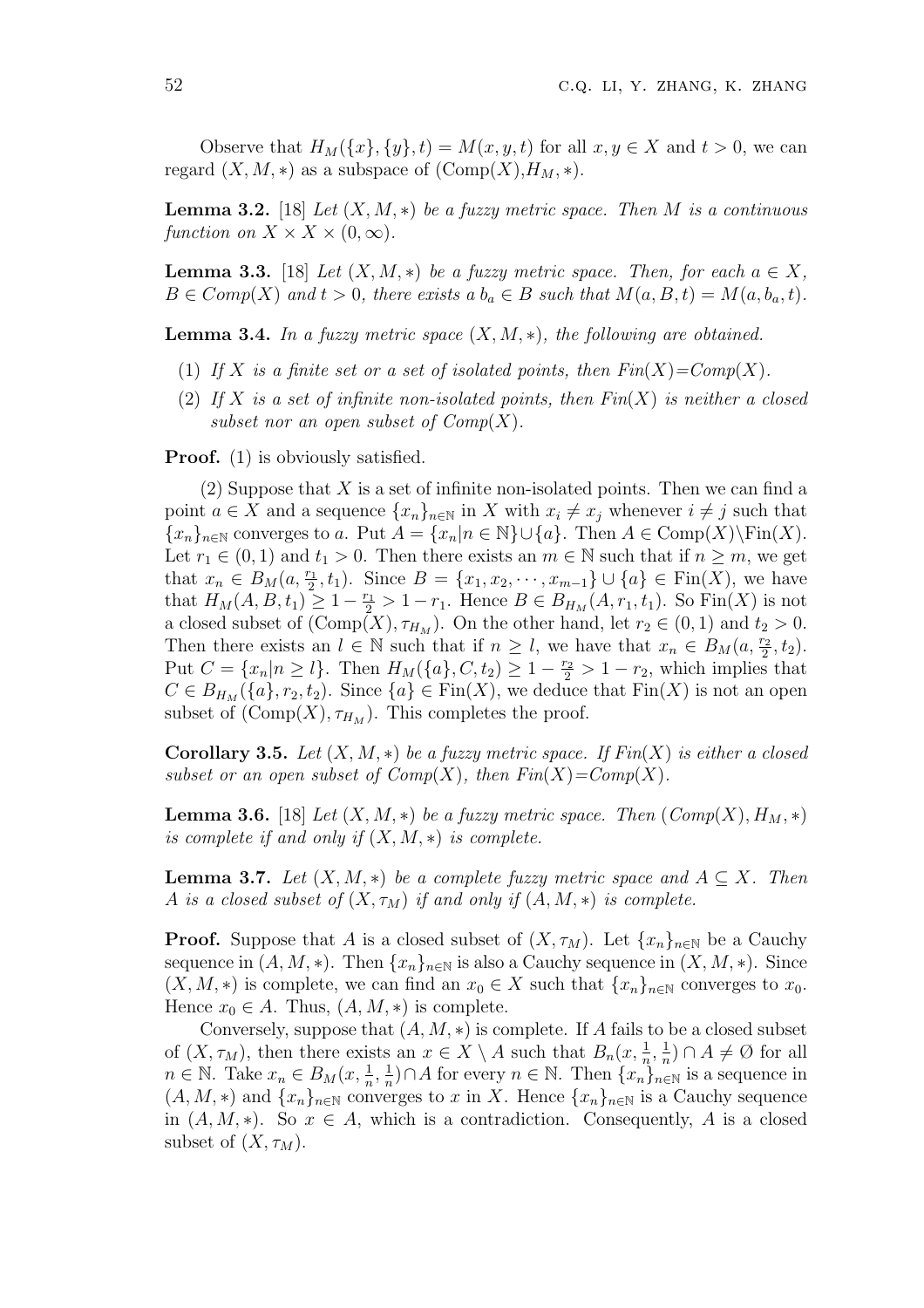Observe that  $H_M({x}, {y}, {t}) = M(x, y, t)$  for all  $x, y \in X$  and  $t > 0$ , we can regard  $(X, M, *)$  as a subspace of  $(\text{Comp}(X), H_M, *)$ .

**Lemma 3.2.** [18] *Let*  $(X, M, *)$  *be a fuzzy metric space. Then M is a continuous function on*  $X \times X \times (0, \infty)$ .

**Lemma 3.3.** [18] *Let*  $(X, M, *)$  *be a fuzzy metric space. Then, for each*  $a \in X$ *,*  $B \in Comp(X)$  *and*  $t > 0$ *, there exists a*  $b_a \in B$  *such that*  $M(a, B, t) = M(a, b_a, t)$ *.* 

**Lemma 3.4.** *In a fuzzy metric space*  $(X, M, *)$ *, the following are obtained.* 

- (1) If X is a finite set or a set of isolated points, then  $Fin(X) = Comp(X)$ .
- (2) *If X is a set of infinite non-isolated points, then Fin*(*X*) *is neither a closed subset nor an open subset of Comp*(*X*)*.*

**Proof.** (1) is obviously satisfied.

(2) Suppose that *X* is a set of infinite non-isolated points. Then we can find a point  $a \in X$  and a sequence  $\{x_n\}_{n \in \mathbb{N}}$  in X with  $x_i \neq x_j$  whenever  $i \neq j$  such that  ${x_n}_{n\in\mathbb{N}}$  converges to a. Put  $A = {x_n | n \in \mathbb{N}} \cup {a}$ . Then  $A \in \text{Comp}(X)\setminus \text{Fin}(X)$ . Let  $r_1 \in (0,1)$  and  $t_1 > 0$ . Then there exists an  $m \in \mathbb{N}$  such that if  $n \geq m$ , we get that  $x_n \in B_M(a, \frac{r_1}{2}, t_1)$ . Since  $B = \{x_1, x_2, \dots, x_{m-1}\} \cup \{a\} \in \text{Fin}(X)$ , we have that  $H_M(A, B, t_1)$  ≥ 1 −  $\frac{r_1}{2}$  > 1 −  $r_1$ . Hence  $B \in B_{H_M}(A, r_1, t_1)$ . So Fin(*X*) is not a closed subset of  $(\text{Comp}(X), \tau_{H_M})$ . On the other hand, let  $r_2 \in (0, 1)$  and  $t_2 > 0$ . Then there exists an  $l \in \mathbb{N}$  such that if  $n \geq l$ , we have that  $x_n \in B_M(a, \frac{r_2}{2}, t_2)$ . Put  $C = \{x_n | n \ge l\}$ . Then  $H_M(\{a\}, C, t_2) \ge 1 - \frac{r_2}{2} > 1 - r_2$ , which implies that  $C \in B_{H_M}(\{a\}, r_2, t_2)$ . Since  $\{a\} \in \text{Fin}(X)$ , we deduce that  $\text{Fin}(X)$  is not an open subset of  $(\text{Comp}(X), \tau_{H_M})$ . This completes the proof.

**Corollary 3.5.** *Let*  $(X, M, *)$  *be a fuzzy metric space. If*  $Fin(X)$  *is either a closed subset or an open subset of*  $Comp(X)$ *, then*  $Fin(X) = Comp(X)$ *.* 

**Lemma 3.6.** [18] *Let*  $(X, M, *)$  *be a fuzzy metric space. Then*  $(Comp(X), H_M, *)$ *is complete if and only if* (*X, M, ∗*) *is complete.*

**Lemma 3.7.** Let  $(X, M, *)$  be a complete fuzzy metric space and  $A \subseteq X$ . Then *A is a closed subset of*  $(X, \tau_M)$  *if and only if*  $(A, M, *)$  *is complete.* 

**Proof.** Suppose that *A* is a closed subset of  $(X, \tau_M)$ . Let  $\{x_n\}_{n\in\mathbb{N}}$  be a Cauchy sequence in  $(A, M, *)$ . Then  $\{x_n\}_{n\in\mathbb{N}}$  is also a Cauchy sequence in  $(X, M, *)$ . Since  $(X, M, *)$  is complete, we can find an  $x_0 \in X$  such that  $\{x_n\}_{n \in \mathbb{N}}$  converges to  $x_0$ . Hence  $x_0 \in A$ . Thus,  $(A, M, *)$  is complete.

Conversely, suppose that  $(A, M, *)$  is complete. If *A* fails to be a closed subset of  $(X, \tau_M)$ , then there exists an  $x \in X \setminus A$  such that  $B_n(x, \frac{1}{n}, \frac{1}{n})$  $\frac{1}{n}$ ) ∩ *A*  $\neq$  Ø for all  $n \in \mathbb{N}$ . Take  $x_n \in B_M(x, \frac{1}{n}, \frac{1}{n})$  $\frac{1}{n}$ )*∩A* for every *n* ∈ N. Then  $\{x_n\}_{n\in\mathbb{N}}$  is a sequence in  $(A, M, *)$  and  $\{x_n\}_{n\in\mathbb{N}}$  converges to *x* in *X*. Hence  $\{x_n\}_{n\in\mathbb{N}}$  is a Cauchy sequence in  $(A, M, *)$ . So  $x \in A$ , which is a contradiction. Consequently, A is a closed subset of  $(X, \tau_M)$ .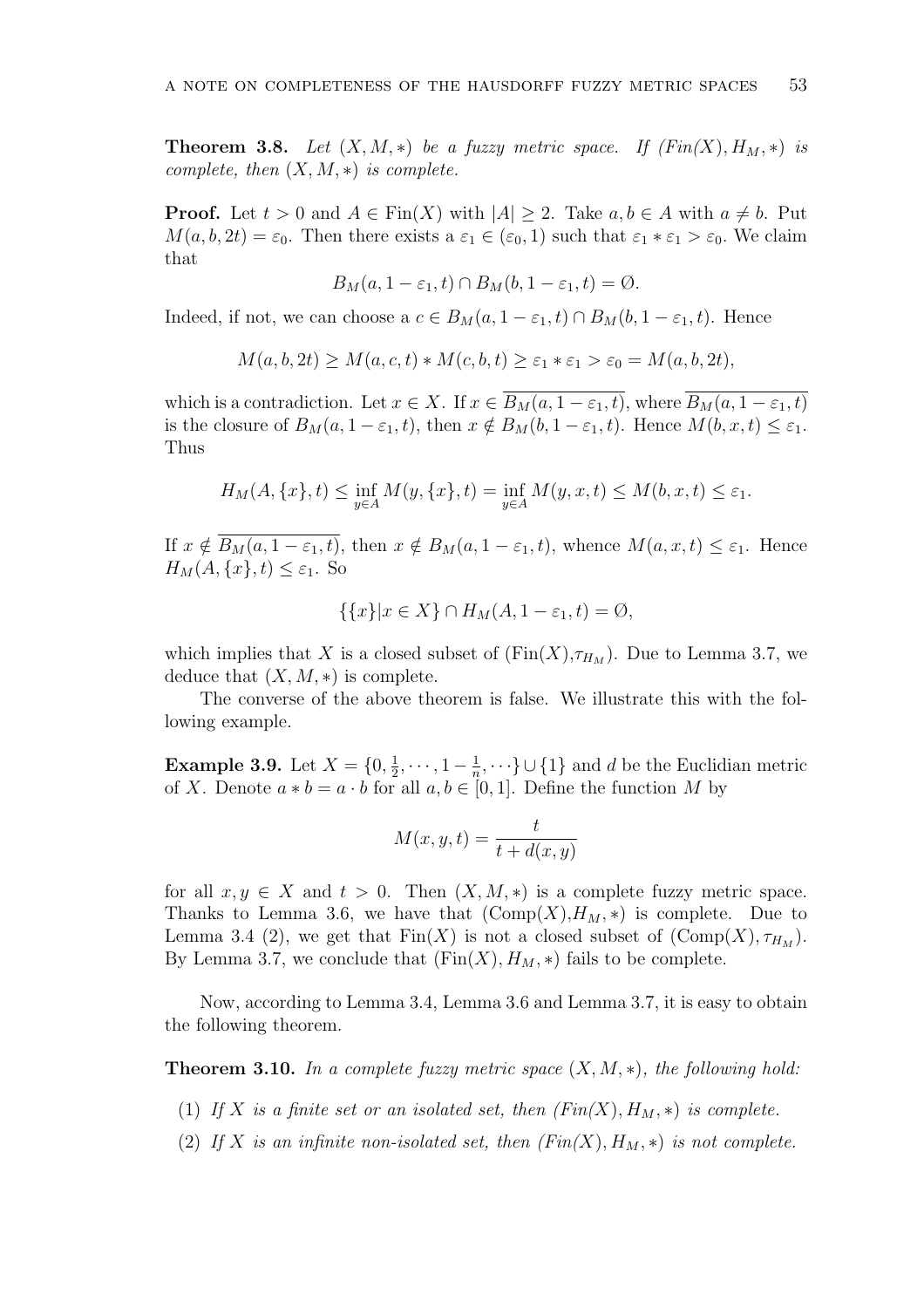**Theorem 3.8.** Let  $(X, M, *)$  be a fuzzy metric space. If  $(Fin(X), H_M, *)$  is *complete, then* (*X, M, ∗*) *is complete.*

**Proof.** Let  $t > 0$  and  $A \in \text{Fin}(X)$  with  $|A| \geq 2$ . Take  $a, b \in A$  with  $a \neq b$ . Put  $M(a, b, 2t) = \varepsilon_0$ . Then there exists a  $\varepsilon_1 \in (\varepsilon_0, 1)$  such that  $\varepsilon_1 * \varepsilon_1 > \varepsilon_0$ . We claim that

$$
B_M(a, 1 - \varepsilon_1, t) \cap B_M(b, 1 - \varepsilon_1, t) = \emptyset.
$$

Indeed, if not, we can choose a  $c \in B_M(a, 1 - \varepsilon_1, t) \cap B_M(b, 1 - \varepsilon_1, t)$ . Hence

$$
M(a, b, 2t) \ge M(a, c, t) * M(c, b, t) \ge \varepsilon_1 * \varepsilon_1 > \varepsilon_0 = M(a, b, 2t),
$$

which is a contradiction. Let  $x \in X$ . If  $x \in \overline{B_M(a, 1-\varepsilon_1, t)}$ , where  $\overline{B_M(a, 1-\varepsilon_1, t)}$ is the closure of  $B_M(a, 1 - \varepsilon_1, t)$ , then  $x \notin B_M(b, 1 - \varepsilon_1, t)$ . Hence  $M(b, x, t) \leq \varepsilon_1$ . Thus

$$
H_M(A, \{x\}, t) \le \inf_{y \in A} M(y, \{x\}, t) = \inf_{y \in A} M(y, x, t) \le M(b, x, t) \le \varepsilon_1.
$$

If  $x \notin \overline{B_M(a, 1-\varepsilon_1, t)}$ , then  $x \notin B_M(a, 1-\varepsilon_1, t)$ , whence  $M(a, x, t) \leq \varepsilon_1$ . Hence  $H_M(A, \{x\}, t) \leq \varepsilon_1$ . So

$$
\{\{x\}|x \in X\} \cap H_M(A, 1 - \varepsilon_1, t) = \emptyset,
$$

which implies that *X* is a closed subset of  $(\text{Fin}(X), \tau_{H_M})$ . Due to Lemma 3.7, we deduce that  $(X, M, *)$  is complete.

The converse of the above theorem is false. We illustrate this with the following example.

**Example 3.9.** Let  $X = \{0, \frac{1}{2}\}$  $\frac{1}{2}, \cdots, 1 - \frac{1}{n}$  $\frac{1}{n}, \dots$ } ∪ {1} and *d* be the Euclidian metric of *X*. Denote  $a * b = a \cdot b$  for all  $a, b \in [0, 1]$ . Define the function *M* by

$$
M(x, y, t) = \frac{t}{t + d(x, y)}
$$

for all  $x, y \in X$  and  $t > 0$ . Then  $(X, M, *)$  is a complete fuzzy metric space. Thanks to Lemma 3.6, we have that  $(\text{Comp}(X), H_M, *)$  is complete. Due to Lemma 3.4 (2), we get that  $\text{Fin}(X)$  is not a closed subset of  $(\text{Comp}(X), \tau_{H_M})$ . By Lemma 3.7, we conclude that  $(\text{Fin}(X), H_M, *)$  fails to be complete.

Now, according to Lemma 3.4, Lemma 3.6 and Lemma 3.7, it is easy to obtain the following theorem.

**Theorem 3.10.** *In a complete fuzzy metric space* (*X, M, ∗*)*, the following hold:*

- (1) If *X* is a finite set or an isolated set, then  $(Fin(X), H_M, *)$  is complete.
- (2) If *X* is an infinite non-isolated set, then  $(Fin(X), H_M, *)$  is not complete.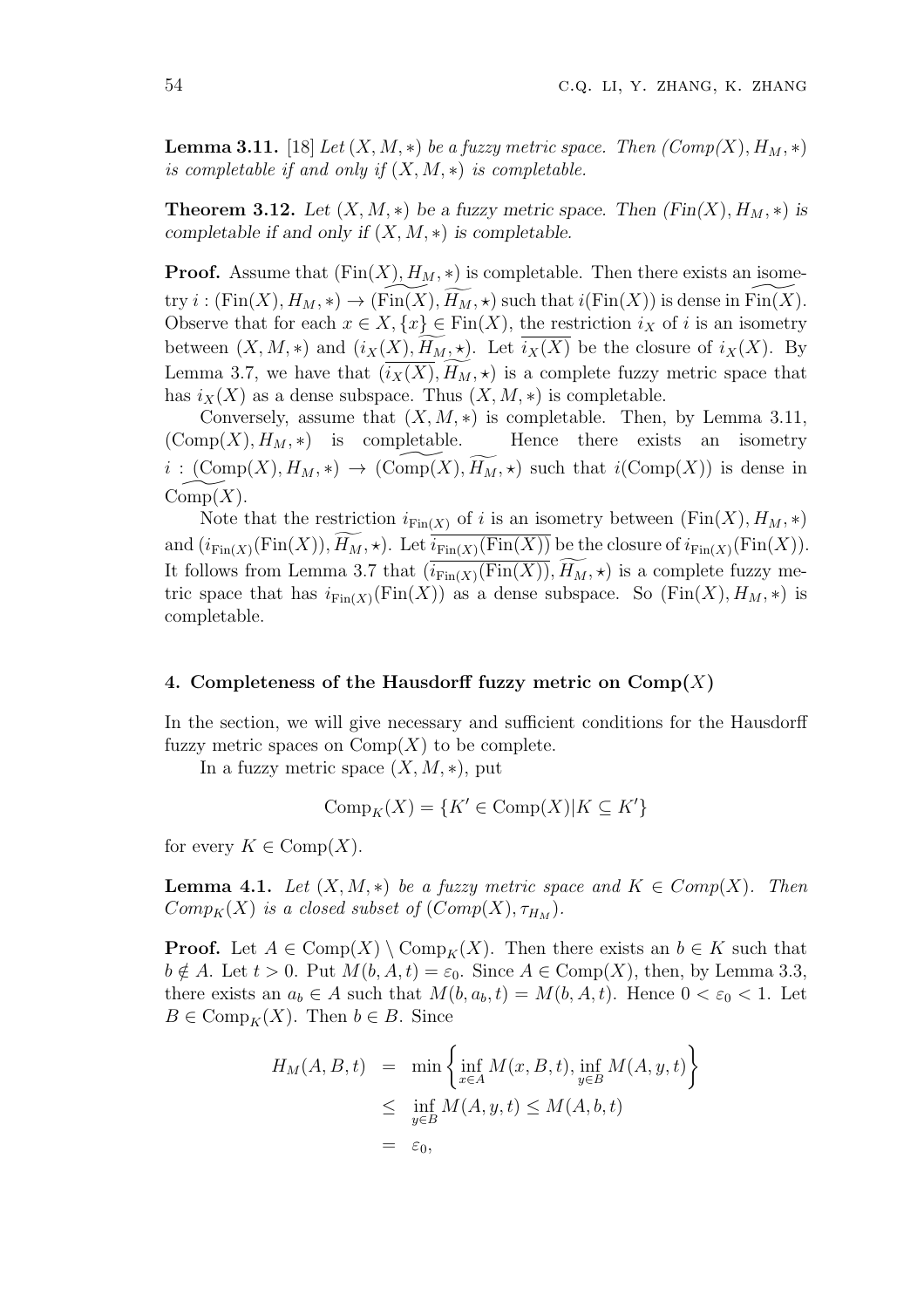**Lemma 3.11.** [18] *Let*  $(X, M, *)$  *be a fuzzy metric space. Then*  $(Comp(X), H_M, *)$ *is completable if and only if* (*X, M, ∗*) *is completable.*

**Theorem 3.12.** Let  $(X, M, *)$  be a fuzzy metric space. Then  $(Fin(X), H_M, *)$  is *completable if and only if* (*X, M, ∗*) *is completable.*

**Proof.** Assume that  $(\text{Fin}(X), H_M, *)$  is completable. Then there exists an isome-**Theorem 3.12.** Let  $(X, M, *)$  be a fuzzy metric space. Then  $(Fin(X), H_M, *)$  is completable.<br> **Proof.** Assume that  $(Fin(X), H_M, *)$  is completable. Then there exists an isometry *i* :  $(Fin(X), H_M, *) \rightarrow (Fin(X), \overline{H_M}, *)$  such that  $i(Fin(X))$  is dense Observe that for each  $x \in X$ ,  $\{x\} \in \text{Fin}(X)$ , the restriction  $i_X$  of  $i$  is an isometry **Proof.** Assume that  $(\text{Fin}(X), H_M, *)$  is completable. Then there exists an isometry  $i : (\text{Fin}(X), H_M, *) \to (\text{Fin}(X), \widetilde{H_M}, *)$  such that  $i(\text{Fin}(X))$  is dense in  $\text{Fin}(X)$ .<br>Observe that for each  $x \in X, \{x\} \in \text{Fin}(X)$ , the restriction Let  $\text{LHSALC}$  the  $\text{LHSALC}$  of  $\text{LHSALC}$  ( $\text{LHSALC}$ ) is  $\text{LHSALC}$  ( $\text{LHSALC}$ ) is  $\text{LHSALC}$  ( $\text{LHSALC}$ ) is  $\text{LHSALC}$  ( $\text{LHSALC}$ ).<br>Observe that for each  $x \in X, \{x\} \in \text{Fin}(X)$ , the restriction  $i_X$  of  $i$  is an iso has  $i_X(X)$  as a dense subspace. Thus  $(X, M, *)$  is completable.

Conversely, assume that  $(X, M, *)$  is completable. Then, by Lemma 3.11,  $(\text{Comp}(X), H_M, *)$  is completable. Hence there exists an isometry *i*  $i_X(X)$  as a dense subspace. Thus  $(X, M, *)$  is a completable.<br> *Conversely, assume that*  $(X, M, *)$  *is completable.* Then, by Lemma 3.11,<br>  $(\text{Comp}(X), H_M, *)$  *is completable.* Hence there exists an isometry<br>  $i : (\text{Comp}(X), H_M, *) \rightarrow (\text{$  $Comp(X)$ .  $i: (\text{Comp}(X), H_M, *) \rightarrow (\text{Comp}(X), \widetilde{H_M}, *)$  such that  $i(\text{Comp}(X))$  is dense in  $\text{Comp}(X)$ .<br>Note that the restriction  $i_{\text{Fin}(X)}$  of  $i$  is an isometry between  $(\text{Fin}(X), H_M, *)$ <br>and  $(i_{\text{Fin}(X)}(\text{Fin}(X)), \widetilde{H_M}, *)$ . Let  $i_{\text{Fin}(X)}(\text{Fin}(X))$  be th

Note that the restriction  $i_{\text{Fin}(X)}$  of *i* is an isometry between  $(\text{Fin}(X), H_M, *)$ and  $(i_{\text{Fin}(X)}(\text{Fin}(X)), H_M, \star)$ . Let  $i_{\text{Fin}(X)}(\text{Fin}(X))$  be the closure of  $i_{\text{Fin}(X)}(\text{Fin}(X))$ .<br>It follows from Lemma 3.7 that  $(i_{\text{Fin}(X)}(\text{Fin}(X)), \widetilde{H_M}, \star)$  is a complete fuzzy metric space that has  $i_{\text{Fin}(X)}(\text{Fin}(X))$  as a dense subspace. So  $(\text{Fin}(X), H_M, *)$  is completable.

### **4. Completeness of the Hausdorff fuzzy metric on Comp(***X***)**

In the section, we will give necessary and sufficient conditions for the Hausdorff fuzzy metric spaces on  $\mathrm{Comp}(X)$  to be complete.

In a fuzzy metric space  $(X, M, *)$ , put

$$
\text{Comp}_K(X) = \{ K' \in \text{Comp}(X) | K \subseteq K' \}
$$

for every  $K \in \text{Comp}(X)$ .

**Lemma 4.1.** Let  $(X, M, *)$  be a fuzzy metric space and  $K \in Comp(X)$ . Then *Comp*<sub>*K*</sub>(*X*) *is a closed subset of* (*Comp*(*X*),  $\tau$ <sub>*HM*</sub>).

**Proof.** Let  $A \in \text{Comp}(X) \setminus \text{Comp}_K(X)$ . Then there exists an  $b \in K$  such that  $b \notin A$ . Let  $t > 0$ . Put  $M(b, A, t) = \varepsilon_0$ . Since  $A \in \text{Comp}(X)$ , then, by Lemma 3.3, there exists an  $a_b \in A$  such that  $M(b, a_b, t) = M(b, A, t)$ . Hence  $0 < \varepsilon_0 < 1$ . Let  $B \in \text{Comp}_K(X)$ . Then  $b \in B$ . Since  $\lambda > 0$ . Put  $M(b, A, t) = \varepsilon_0$ <br> *n*  $a_b \in A$  such that  $M(b, A, t)$ <br> *X*). Then  $b \in B$ . Since<br>  $H_M(A, B, t) = \min \left\{$ 

$$
H_M(A, B, t) = \min \left\{ \inf_{x \in A} M(x, B, t), \inf_{y \in B} M(A, y, t) \right\}
$$
  
\n
$$
\leq \inf_{y \in B} M(A, y, t) \leq M(A, b, t)
$$
  
\n
$$
= \varepsilon_0,
$$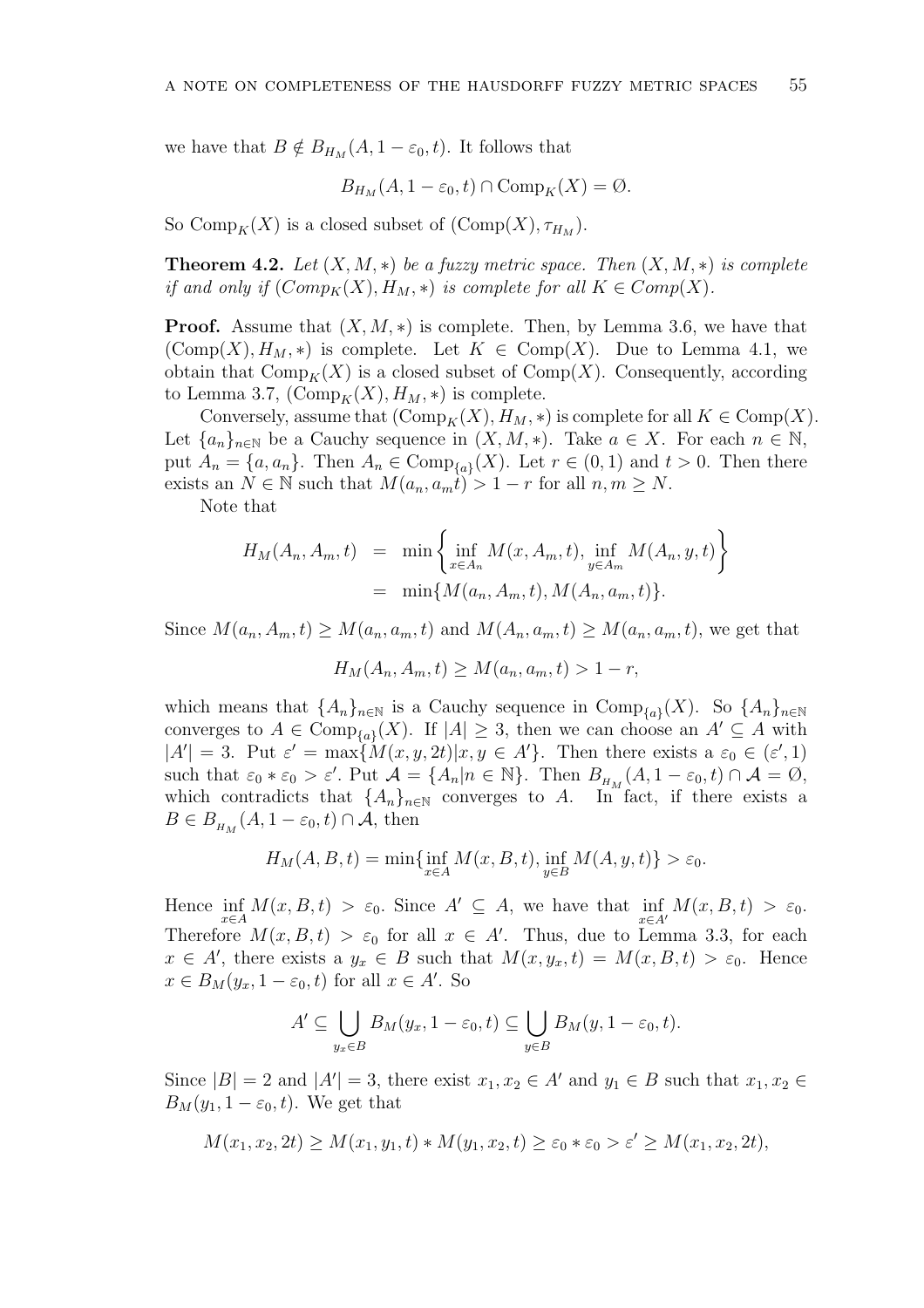we have that  $B \notin B_{H_M}(A, 1-\varepsilon_0, t)$ . It follows that

$$
B_{H_M}(A, 1 - \varepsilon_0, t) \cap \text{Comp}_K(X) = \emptyset.
$$

So Comp<sub>K</sub>(*X*) is a closed subset of  $(\text{Comp}(X), \tau_{H_M})$ .

**Theorem 4.2.** Let  $(X, M, *)$  be a fuzzy metric space. Then  $(X, M, *)$  is complete *if and only if*  $(Comp_K(X), H_M, *)$  *is complete for all*  $K \in Comp(X)$ *.* 

**Proof.** Assume that  $(X, M, *)$  is complete. Then, by Lemma 3.6, we have that  $(\text{Comp}(X), H_M, *)$  is complete. Let  $K \in \text{Comp}(X)$ . Due to Lemma 4.1, we obtain that  $\text{Comp}_K(X)$  is a closed subset of  $\text{Comp}(X)$ . Consequently, according to Lemma 3.7,  $(\text{Comp}_K(X), H_M, *)$  is complete.

Conversely, assume that  $(\text{Comp}_K(X), H_M, *)$  is complete for all  $K \in \text{Comp}(X)$ . Let  ${a_n}_{n \in \mathbb{N}}$  be a Cauchy sequence in  $(X, M, *)$ . Take  $a \in X$ . For each  $n \in \mathbb{N}$ , put  $A_n = \{a, a_n\}$ . Then  $A_n \in \text{Comp}_{\{a\}}(X)$ . Let  $r \in (0, 1)$  and  $t > 0$ . Then there exists an  $N \in \mathbb{N}$  such that  $M(a_n, a_m t) > 1 - r$  for all  $n, m \geq N$ .  $\{a, a_n\}$ . Then  $A_n \in \text{Comp}$ <br>  $N \in \mathbb{N}$  such that  $M(a_n, a_m)$ <br>
that<br>  $H_M(A_n, A_m, t) = \min \left\{$ 

Note that

$$
H_M(A_n, A_m, t) = \min \left\{ \inf_{x \in A_n} M(x, A_m, t), \inf_{y \in A_m} M(A_n, y, t) \right\}
$$
  
=  $\min \{ M(a_n, A_m, t), M(A_n, a_m, t) \}.$ 

Since  $M(a_n, A_m, t) \geq M(a_n, a_m, t)$  and  $M(A_n, a_m, t) \geq M(a_n, a_m, t)$ , we get that

$$
H_M(A_n, A_m, t) \ge M(a_n, a_m, t) > 1 - r,
$$

which means that  $\{A_n\}_{n\in\mathbb{N}}$  is a Cauchy sequence in  $\text{Comp}_{\{a\}}(X)$ . So  $\{A_n\}_{n\in\mathbb{N}}$ converges to  $A \in \text{Comp}_{\{a\}}(X)$ . If  $|A| \geq 3$ , then we can choose an  $A' \subseteq A$  with  $|A'| = 3$ . Put  $\varepsilon' = \max\{M(x, y, 2t)|x, y \in A'\}$ . Then there exists  $a \varepsilon_0 \in (\varepsilon', 1)$ such that  $\varepsilon_0 * \varepsilon_0 > \varepsilon'$ . Put  $\mathcal{A} = \{A_n | n \in \mathbb{N}\}\$ . Then  $B_{H_M}(A, 1 - \varepsilon_0, t) \cap \mathcal{A} = \emptyset$ , which contradicts that  $\{A_n\}_{n\in\mathbb{N}}$  converges to *A*. In fact, if there exists a  $B \in B_{H_M}(A, 1 - \varepsilon_0, t) \cap A$ , then

$$
H_M(A, B, t) = \min\{\inf_{x \in A} M(x, B, t), \inf_{y \in B} M(A, y, t)\} > \varepsilon_0.
$$

Hence  $\inf_{x \in A} M(x, B, t) > \varepsilon_0$ . Since  $A' \subseteq A$ , we have that  $\inf_{x \in A'} M(x, B, t) > \varepsilon_0$ . Therefore  $M(x, B, t) > \varepsilon_0$  for all  $x \in A'$ . Thus, due to Lemma 3.3, for each  $x \in A'$ , there exists a  $y_x \in B$  such that  $M(x, y_x, t) = M(x, B, t) > \varepsilon_0$ . Hence  $x \in B_M(y_x, 1 - \varepsilon_0, t)$  for all  $x \in A'$ . So

$$
A' \subseteq \bigcup_{y_x \in B} B_M(y_x, 1 - \varepsilon_0, t) \subseteq \bigcup_{y \in B} B_M(y, 1 - \varepsilon_0, t).
$$

Since  $|B| = 2$  and  $|A'| = 3$ , there exist  $x_1, x_2 \in A'$  and  $y_1 \in B$  such that  $x_1, x_2 \in A'$ *B<sub>M</sub>*( $y_1$ , 1 −  $\varepsilon_0$ , *t*). We get that

$$
M(x_1, x_2, 2t) \ge M(x_1, y_1, t) * M(y_1, x_2, t) \ge \varepsilon_0 * \varepsilon_0 > \varepsilon' \ge M(x_1, x_2, 2t),
$$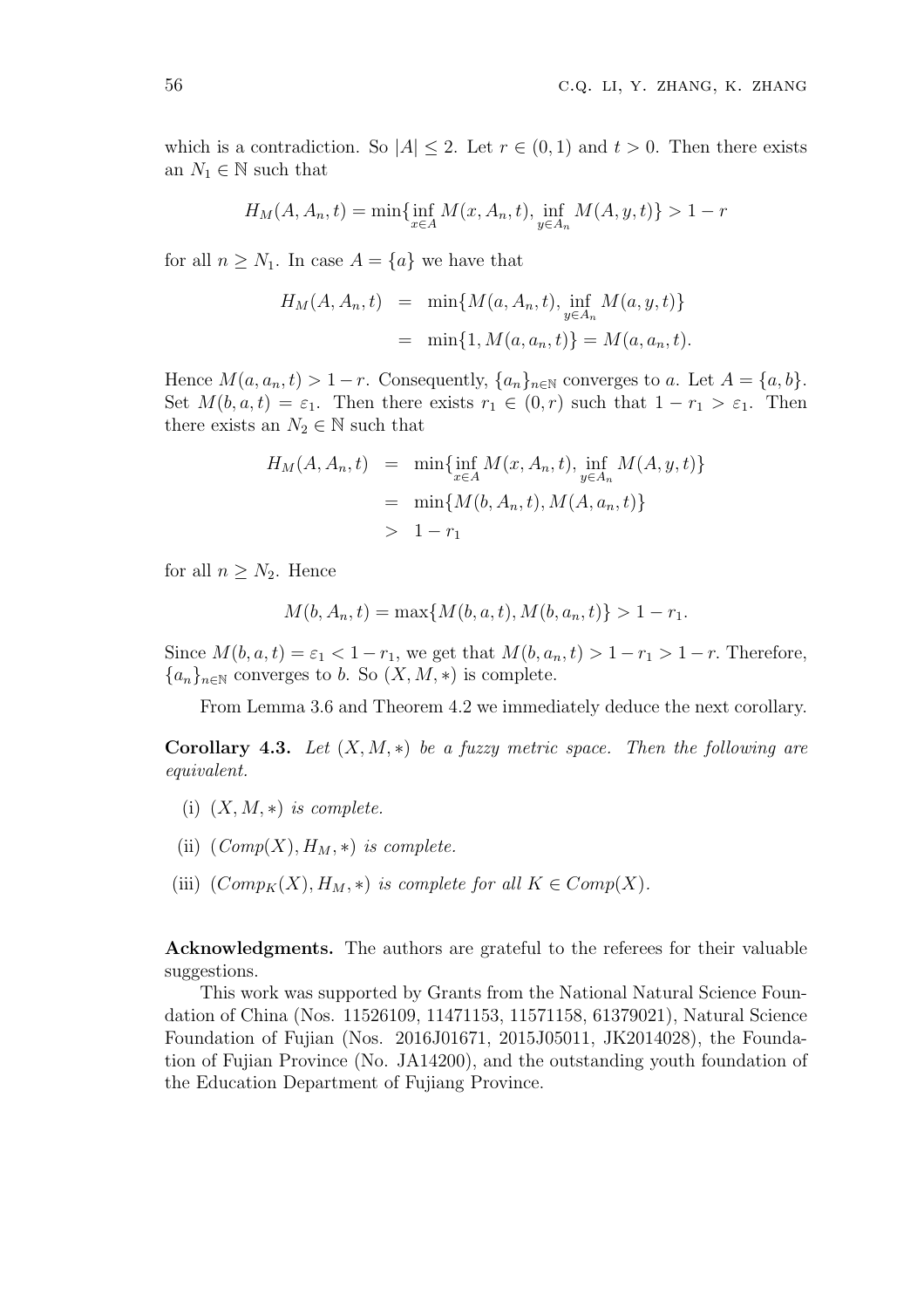which is a contradiction. So  $|A| \leq 2$ . Let  $r \in (0,1)$  and  $t > 0$ . Then there exists an  $N_1 \in \mathbb{N}$  such that

$$
H_M(A, A_n, t) = \min\{\inf_{x \in A} M(x, A_n, t), \inf_{y \in A_n} M(A, y, t)\} > 1 - r
$$

for all  $n \geq N_1$ . In case  $A = \{a\}$  we have that

$$
H_M(A, A_n, t) = \min\{M(a, A_n, t), \inf_{y \in A_n} M(a, y, t)\}
$$
  
=  $\min\{1, M(a, a_n, t)\} = M(a, a_n, t).$ 

Hence  $M(a, a_n, t) > 1 - r$ . Consequently,  $\{a_n\}_{n \in \mathbb{N}}$  converges to *a*. Let  $A = \{a, b\}$ . Set  $M(b, a, t) = \varepsilon_1$ . Then there exists  $r_1 \in (0, r)$  such that  $1 - r_1 > \varepsilon_1$ . Then there exists an  $N_2 \in \mathbb{N}$  such that

$$
H_M(A, A_n, t) = \min \{ \inf_{x \in A} M(x, A_n, t), \inf_{y \in A_n} M(A, y, t) \}
$$
  
=  $\min \{ M(b, A_n, t), M(A, a_n, t) \}$   
>  $1 - r_1$ 

for all  $n > N_2$ . Hence

$$
M(b, A_n, t) = \max\{M(b, a, t), M(b, a_n, t)\} > 1 - r_1.
$$

Since  $M(b, a, t) = \varepsilon_1 < 1 - r_1$ , we get that  $M(b, a_n, t) > 1 - r_1 > 1 - r$ . Therefore,  ${a_n}_{n \in \mathbb{N}}$  converges to *b*. So  $(X, M, *)$  is complete.

From Lemma 3.6 and Theorem 4.2 we immediately deduce the next corollary.

**Corollary 4.3.** *Let*  $(X, M, *)$  *be a fuzzy metric space. Then the following are equivalent.*

- (i)  $(X, M, *)$  *is complete.*
- (ii)  $(\textit{Comp}(X), H_M, *)$  *is complete.*
- (iii)  $(\text{Comp}_K(X), H_M, *)$  *is complete for all*  $K \in \text{Comp}(X)$ *.*

**Acknowledgments.** The authors are grateful to the referees for their valuable suggestions.

This work was supported by Grants from the National Natural Science Foundation of China (Nos. 11526109, 11471153, 11571158, 61379021), Natural Science Foundation of Fujian (Nos. 2016J01671, 2015J05011, JK2014028), the Foundation of Fujian Province (No. JA14200), and the outstanding youth foundation of the Education Department of Fujiang Province.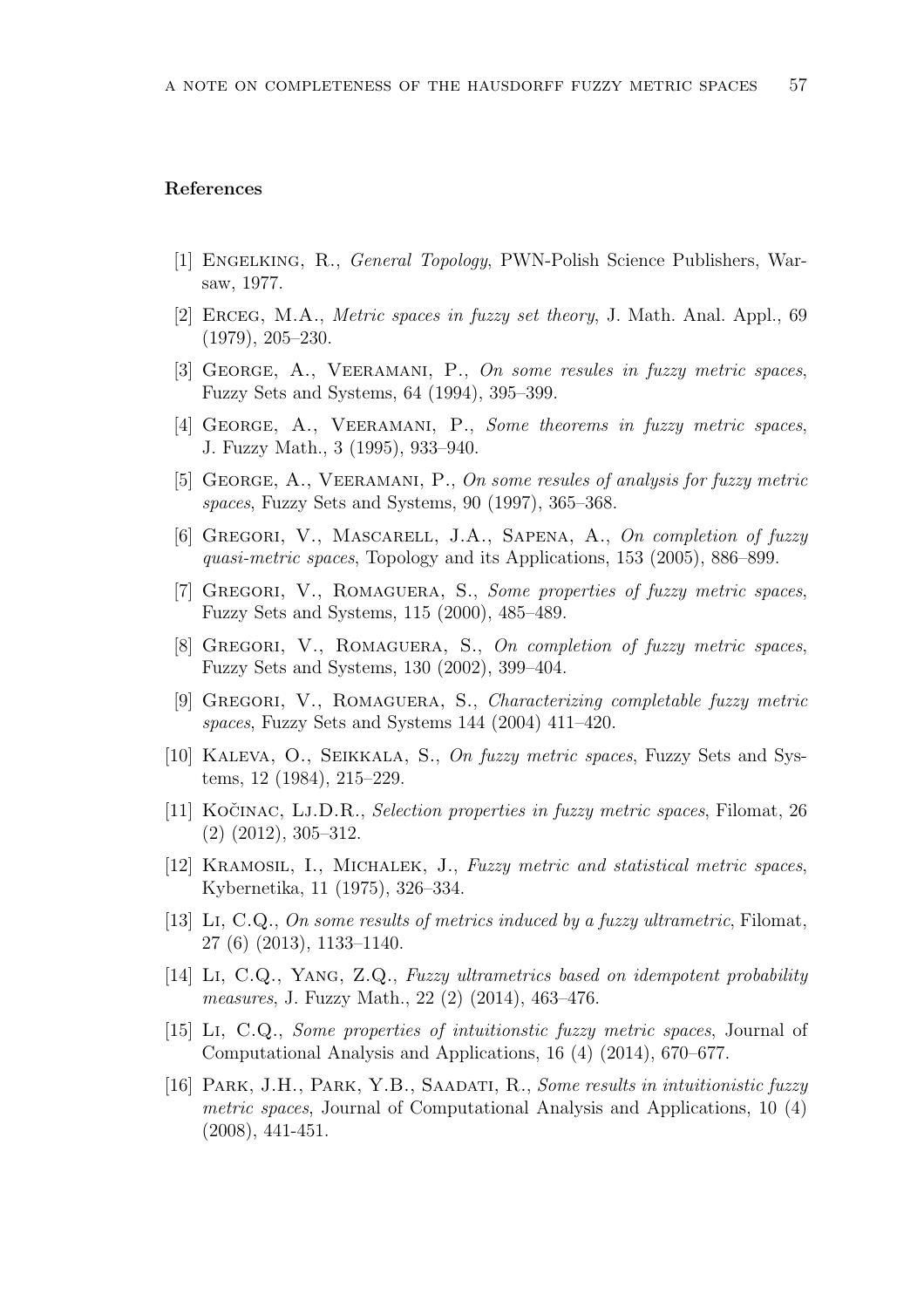# **References**

- [1] Engelking, R., *General Topology*, PWN-Polish Science Publishers, Warsaw, 1977.
- [2] Erceg, M.A., *Metric spaces in fuzzy set theory*, J. Math. Anal. Appl., 69 (1979), 205–230.
- [3] George, A., Veeramani, P., *On some resules in fuzzy metric spaces*, Fuzzy Sets and Systems, 64 (1994), 395–399.
- [4] George, A., Veeramani, P., *Some theorems in fuzzy metric spaces*, J. Fuzzy Math., 3 (1995), 933–940.
- [5] George, A., Veeramani, P., *On some resules of analysis for fuzzy metric spaces*, Fuzzy Sets and Systems, 90 (1997), 365–368.
- [6] Gregori, V., Mascarell, J.A., Sapena, A., *On completion of fuzzy quasi-metric spaces*, Topology and its Applications, 153 (2005), 886–899.
- [7] Gregori, V., Romaguera, S., *Some properties of fuzzy metric spaces*, Fuzzy Sets and Systems, 115 (2000), 485–489.
- [8] Gregori, V., Romaguera, S., *On completion of fuzzy metric spaces*, Fuzzy Sets and Systems, 130 (2002), 399–404.
- [9] Gregori, V., Romaguera, S., *Characterizing completable fuzzy metric spaces*, Fuzzy Sets and Systems 144 (2004) 411–420.
- [10] Kaleva, O., Seikkala, S., *On fuzzy metric spaces*, Fuzzy Sets and Systems, 12 (1984), 215–229.
- [11] Kocinac, Lj.D.R. ˇ , *Selection properties in fuzzy metric spaces*, Filomat, 26 (2) (2012), 305–312.
- [12] Kramosil, I., Michalek, J., *Fuzzy metric and statistical metric spaces*, Kybernetika, 11 (1975), 326–334.
- [13] Li, C.Q., *On some results of metrics induced by a fuzzy ultrametric*, Filomat, 27 (6) (2013), 1133–1140.
- [14] Li, C.Q., Yang, Z.Q., *Fuzzy ultrametrics based on idempotent probability measures*, J. Fuzzy Math., 22 (2) (2014), 463–476.
- [15] Li, C.Q., *Some properties of intuitionstic fuzzy metric spaces*, Journal of Computational Analysis and Applications, 16 (4) (2014), 670–677.
- [16] Park, J.H., Park, Y.B., Saadati, R., *Some results in intuitionistic fuzzy metric spaces*, Journal of Computational Analysis and Applications, 10 (4) (2008), 441-451.